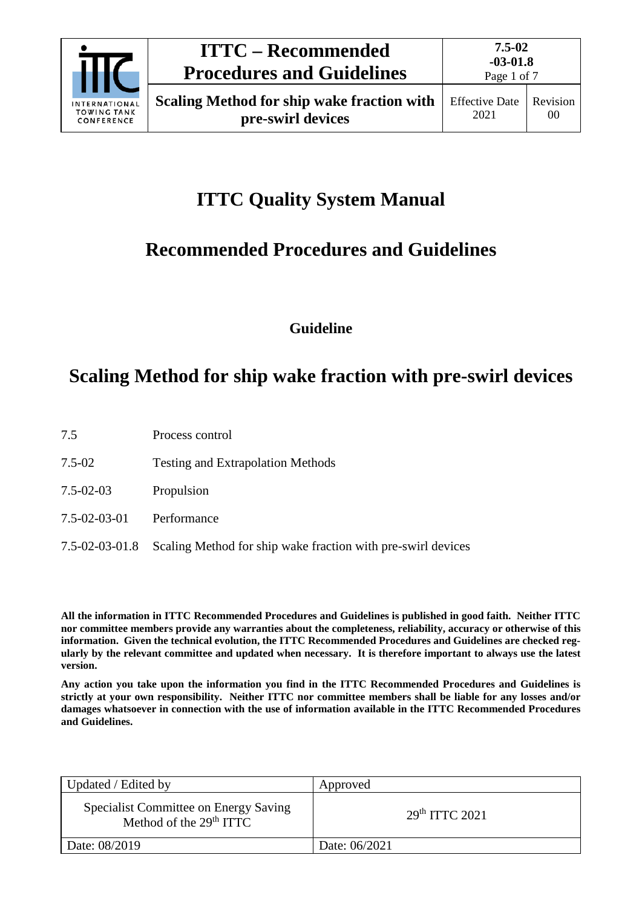

Revision 00

# **ITTC Quality System Manual**

## **Recommended Procedures and Guidelines**

**Guideline**

## **Scaling Method for ship wake fraction with pre-swirl devices**

- 7.5 Process control
- 7.5-02 Testing and Extrapolation Methods
- 7.5-02-03 Propulsion
- 7.5-02-03-01 Performance
- 7.5-02-03-01.8 Scaling Method for ship wake fraction with pre-swirl devices

**All the information in ITTC Recommended Procedures and Guidelines is published in good faith. Neither ITTC nor committee members provide any warranties about the completeness, reliability, accuracy or otherwise of this information. Given the technical evolution, the ITTC Recommended Procedures and Guidelines are checked regularly by the relevant committee and updated when necessary. It is therefore important to always use the latest version.**

**Any action you take upon the information you find in the ITTC Recommended Procedures and Guidelines is strictly at your own responsibility. Neither ITTC nor committee members shall be liable for any losses and/or damages whatsoever in connection with the use of information available in the ITTC Recommended Procedures and Guidelines.**

| Updated / Edited by                                                | Approved                   |
|--------------------------------------------------------------------|----------------------------|
| Specialist Committee on Energy Saving<br>Method of the $29th ITTC$ | 29 <sup>th</sup> TTTC 2021 |
| Date: 08/2019                                                      | Date: 06/2021              |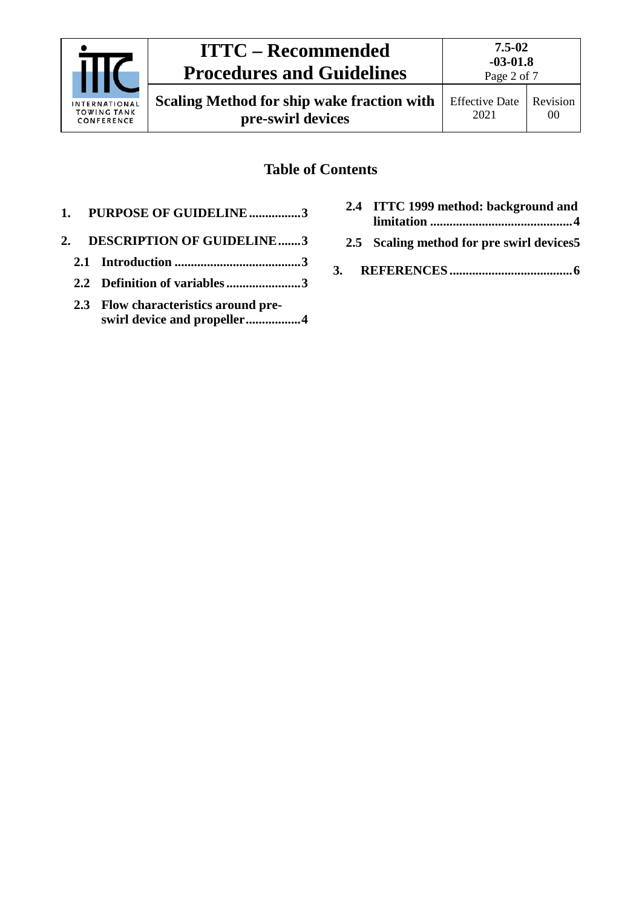| INTERNATIONAL<br><b>TOWING TANK</b><br>CONFERENCE | <b>ITTC – Recommended</b><br><b>Procedures and Guidelines</b>          | 7.5-02<br>$-03-01.8$<br>Page 2 of 7 |                |
|---------------------------------------------------|------------------------------------------------------------------------|-------------------------------------|----------------|
|                                                   | <b>Scaling Method for ship wake fraction with</b><br>pre-swirl devices | <b>Effective Date</b><br>2021       | Revision<br>00 |

### **Table of Contents**

- **1. [PURPOSE OF GUIDELINE................3](#page-2-0)**
- **2. [DESCRIPTION OF GUIDELINE.......3](#page-2-1)**
	- **2.1 Introduction [.......................................3](#page-2-2)**
	- **2.2 [Definition of variables.......................3](#page-2-3)**
	- **2.3 [Flow characteristics around pre](#page-3-0)[swirl device and propeller.................4](#page-3-0)**
- **2.4 [ITTC 1999 method: background and](#page-3-1)  limitation [............................................4](#page-3-1)**
- **2.5 [Scaling method for pre swirl devices5](#page-4-0)**
- **3. REFERENCES [......................................6](#page-5-0)**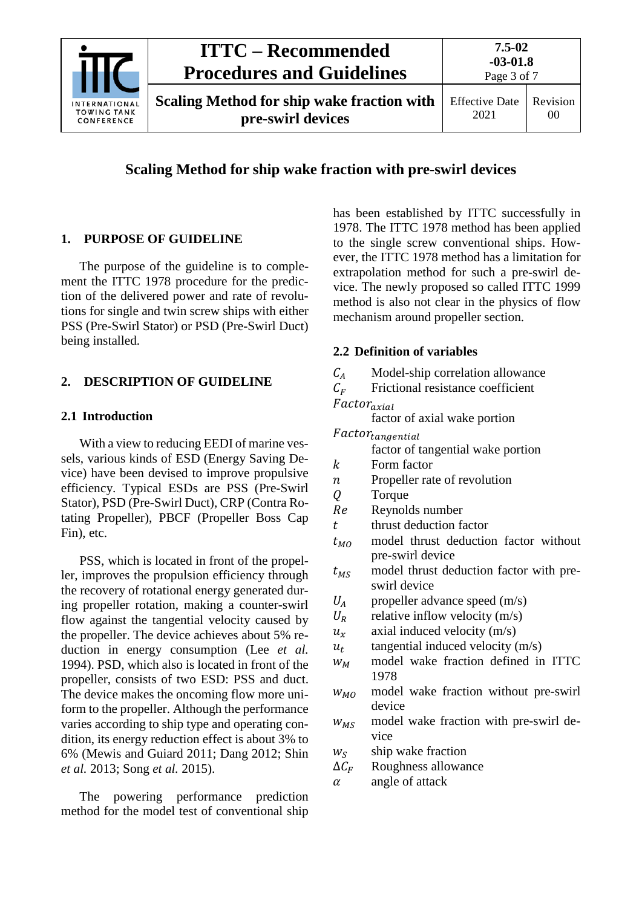

### **Scaling Method for ship wake fraction with pre-swirl devices**

### <span id="page-2-0"></span>**1. PURPOSE OF GUIDELINE**

The purpose of the guideline is to complement the ITTC 1978 procedure for the prediction of the delivered power and rate of revolutions for single and twin screw ships with either PSS (Pre-Swirl Stator) or PSD (Pre-Swirl Duct) being installed.

#### <span id="page-2-2"></span><span id="page-2-1"></span>**2. DESCRIPTION OF GUIDELINE**

#### **2.1 Introduction**

With a view to reducing EEDI of marine vessels, various kinds of ESD (Energy Saving Device) have been devised to improve propulsive efficiency. Typical ESDs are PSS (Pre-Swirl Stator), PSD (Pre-Swirl Duct), CRP (Contra Rotating Propeller), PBCF (Propeller Boss Cap Fin), etc.

PSS, which is located in front of the propeller, improves the propulsion efficiency through the recovery of rotational energy generated during propeller rotation, making a counter-swirl flow against the tangential velocity caused by the propeller. The device achieves about 5% reduction in energy consumption (Lee *et al.* 1994). PSD, which also is located in front of the propeller, consists of two ESD: PSS and duct. The device makes the oncoming flow more uniform to the propeller. Although the performance varies according to ship type and operating condition, its energy reduction effect is about 3% to 6% (Mewis and Guiard 2011; Dang 2012; Shin *et al.* 2013; Song *et al.* 2015).

The powering performance prediction method for the model test of conventional ship has been established by ITTC successfully in 1978. The ITTC 1978 method has been applied to the single screw conventional ships. However, the ITTC 1978 method has a limitation for extrapolation method for such a pre-swirl device. The newly proposed so called ITTC 1999 method is also not clear in the physics of flow mechanism around propeller section.

#### <span id="page-2-3"></span>**2.2 Definition of variables**

- $C_A$  Model-ship correlation allowance<br> $C_F$  Frictional resistance coefficient
- Frictional resistance coefficient

 $Factor_{axial}$ 

factor of axial wake portion

- $Factor_{tangential}$ factor of tangential wake portion
- $k$  Form factor<br>  $n$  Propeller rat
- $n$  Propeller rate of revolution<br> $0$  Torque
- Q Torque<br>Re Reynole
- $Re$  Reynolds number<br>t thrust deduction fa
- thrust deduction factor
- $t_{MO}$  model thrust deduction factor without pre-swirl device
- $t_{MS}$  model thrust deduction factor with preswirl device
- $U_A$  propeller advance speed (m/s)<br> $U_B$  relative inflow velocity (m/s)
- relative inflow velocity (m/s)
- $u_x$  axial induced velocity (m/s)
- $u_t$  tangential induced velocity (m/s)
- $W_M$  model wake fraction defined in ITTC 1978
- $W_{M_O}$  model wake fraction without pre-swirl device
- $w_{MS}$  model wake fraction with pre-swirl device
- $w_S$  ship wake fraction<br> $\Delta C_F$  Roughness allowar
- $\Delta C_F$  Roughness allowance<br>  $\alpha$  angle of attack
- angle of attack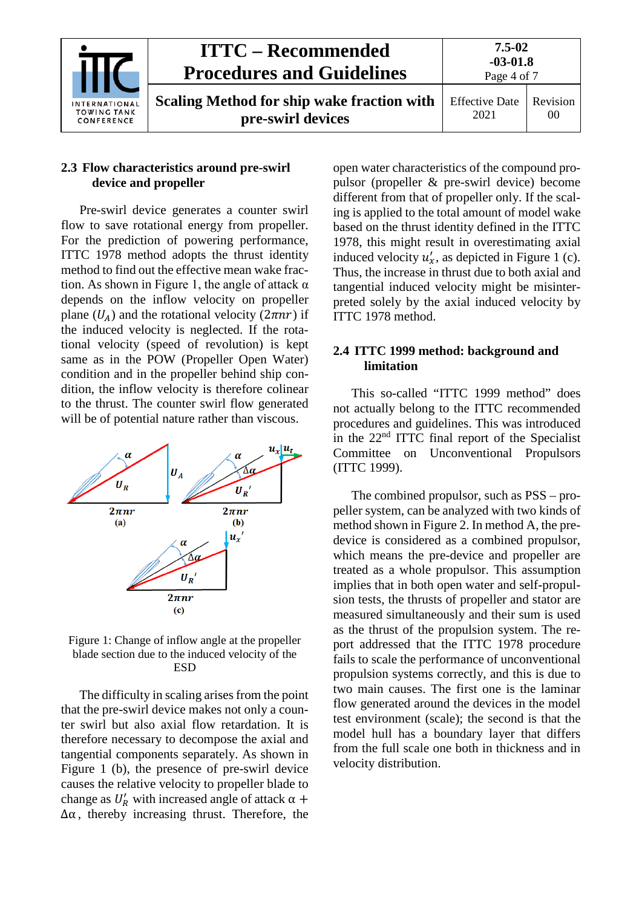| INTERNATIONAL<br><b>TOWING TANK</b><br>CONFERENCE | <b>ITTC – Recommended</b><br><b>Procedures and Guidelines</b>          | 7.5-02<br>$-03-01.8$<br>Page 4 of 7 |                |
|---------------------------------------------------|------------------------------------------------------------------------|-------------------------------------|----------------|
|                                                   | <b>Scaling Method for ship wake fraction with</b><br>pre-swirl devices | <b>Effective Date</b><br>2021       | Revision<br>00 |

#### <span id="page-3-0"></span>**2.3 Flow characteristics around pre-swirl device and propeller**

Pre-swirl device generates a counter swirl flow to save rotational energy from propeller. For the prediction of powering performance, ITTC 1978 method adopts the thrust identity method to find out the effective mean wake fraction. As shown in Figure 1, the angle of attack  $\alpha$ depends on the inflow velocity on propeller plane  $(U_A)$  and the rotational velocity  $(2\pi nr)$  if the induced velocity is neglected. If the rotational velocity (speed of revolution) is kept same as in the POW (Propeller Open Water) condition and in the propeller behind ship condition, the inflow velocity is therefore colinear to the thrust. The counter swirl flow generated will be of potential nature rather than viscous.



Figure 1: Change of inflow angle at the propeller blade section due to the induced velocity of the **ESD** 

The difficulty in scaling arises from the point that the pre-swirl device makes not only a counter swirl but also axial flow retardation. It is therefore necessary to decompose the axial and tangential components separately. As shown in Figure 1 (b), the presence of pre-swirl device causes the relative velocity to propeller blade to change as  $U'_R$  with increased angle of attack  $\alpha$  +  $\Delta \alpha$ , thereby increasing thrust. Therefore, the

open water characteristics of the compound propulsor (propeller & pre-swirl device) become different from that of propeller only. If the scaling is applied to the total amount of model wake based on the thrust identity defined in the ITTC 1978, this might result in overestimating axial induced velocity  $u'_x$ , as depicted in Figure 1 (c). Thus, the increase in thrust due to both axial and tangential induced velocity might be misinterpreted solely by the axial induced velocity by ITTC 1978 method.

#### <span id="page-3-1"></span>**2.4 ITTC 1999 method: background and limitation**

This so-called "ITTC 1999 method" does not actually belong to the ITTC recommended procedures and guidelines. This was introduced in the 22nd ITTC final report of the Specialist Committee on Unconventional Propulsors (ITTC 1999).

The combined propulsor, such as PSS – propeller system, can be analyzed with two kinds of method shown in Figure 2. In method A, the predevice is considered as a combined propulsor, which means the pre-device and propeller are treated as a whole propulsor. This assumption implies that in both open water and self-propulsion tests, the thrusts of propeller and stator are measured simultaneously and their sum is used as the thrust of the propulsion system. The report addressed that the ITTC 1978 procedure fails to scale the performance of unconventional propulsion systems correctly, and this is due to two main causes. The first one is the laminar flow generated around the devices in the model test environment (scale); the second is that the model hull has a boundary layer that differs from the full scale one both in thickness and in velocity distribution.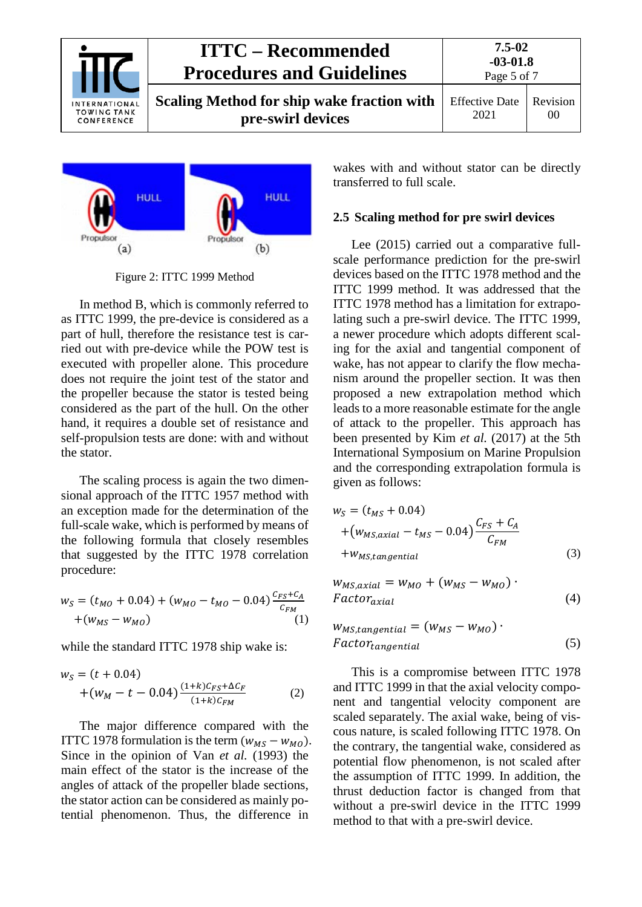| INTERNATIONAL<br><b>TOWING TANK</b><br>CONFERENCE | <b>ITTC – Recommended</b><br><b>Procedures and Guidelines</b>          | 7.5-02<br>$-03-01.8$<br>Page 5 of 7 |                |
|---------------------------------------------------|------------------------------------------------------------------------|-------------------------------------|----------------|
|                                                   | <b>Scaling Method for ship wake fraction with</b><br>pre-swirl devices | <b>Effective Date</b><br>2021       | Revision<br>00 |



Figure 2: ITTC 1999 Method

In method B, which is commonly referred to as ITTC 1999, the pre-device is considered as a part of hull, therefore the resistance test is carried out with pre-device while the POW test is executed with propeller alone. This procedure does not require the joint test of the stator and the propeller because the stator is tested being considered as the part of the hull. On the other hand, it requires a double set of resistance and self-propulsion tests are done: with and without the stator.

The scaling process is again the two dimensional approach of the ITTC 1957 method with an exception made for the determination of the full-scale wake, which is performed by means of the following formula that closely resembles that suggested by the ITTC 1978 correlation procedure:

$$
w_S = (t_{MO} + 0.04) + (w_{MO} - t_{MO} - 0.04) \frac{c_{FS} + c_A}{c_{FM}} + (w_{MS} - w_{MO})
$$
\n(1)

while the standard ITTC 1978 ship wake is:

$$
w_S = (t + 0.04)
$$
  
+ $(w_M - t - 0.04) \frac{(1+k)C_{FS} + \Delta C_F}{(1+k)C_{FM}}$  (2)

The major difference compared with the ITTC 1978 formulation is the term  $(w_{MS} - w_{MO})$ . Since in the opinion of Van *et al.* (1993) the main effect of the stator is the increase of the angles of attack of the propeller blade sections, the stator action can be considered as mainly potential phenomenon. Thus, the difference in

wakes with and without stator can be directly transferred to full scale.

#### <span id="page-4-0"></span>**2.5 Scaling method for pre swirl devices**

Lee (2015) carried out a comparative fullscale performance prediction for the pre-swirl devices based on the ITTC 1978 method and the ITTC 1999 method. It was addressed that the ITTC 1978 method has a limitation for extrapolating such a pre-swirl device. The ITTC 1999, a newer procedure which adopts different scaling for the axial and tangential component of wake, has not appear to clarify the flow mechanism around the propeller section. It was then proposed a new extrapolation method which leads to a more reasonable estimate for the angle of attack to the propeller. This approach has been presented by Kim *et al.* (2017) at the 5th International Symposium on Marine Propulsion and the corresponding extrapolation formula is given as follows:

$$
w_S = (t_{MS} + 0.04)
$$
  
+ $(w_{MS,axial} - t_{MS} - 0.04) \frac{C_{FS} + C_A}{C_{FM}}$   
+ $w_{MS,tangential}$  (3)

$$
w_{MS,axial} = w_{MO} + (w_{MS} - w_{MO})
$$
  
Factor<sub>axial</sub> (4)

$$
W_{MS,tangential} = (W_{MS} - W_{MO}) \cdot
$$
  
Factor<sub>tangential</sub> (5)

This is a compromise between ITTC 1978 and ITTC 1999 in that the axial velocity component and tangential velocity component are scaled separately. The axial wake, being of viscous nature, is scaled following ITTC 1978. On the contrary, the tangential wake, considered as potential flow phenomenon, is not scaled after the assumption of ITTC 1999. In addition, the thrust deduction factor is changed from that without a pre-swirl device in the ITTC 1999 method to that with a pre-swirl device.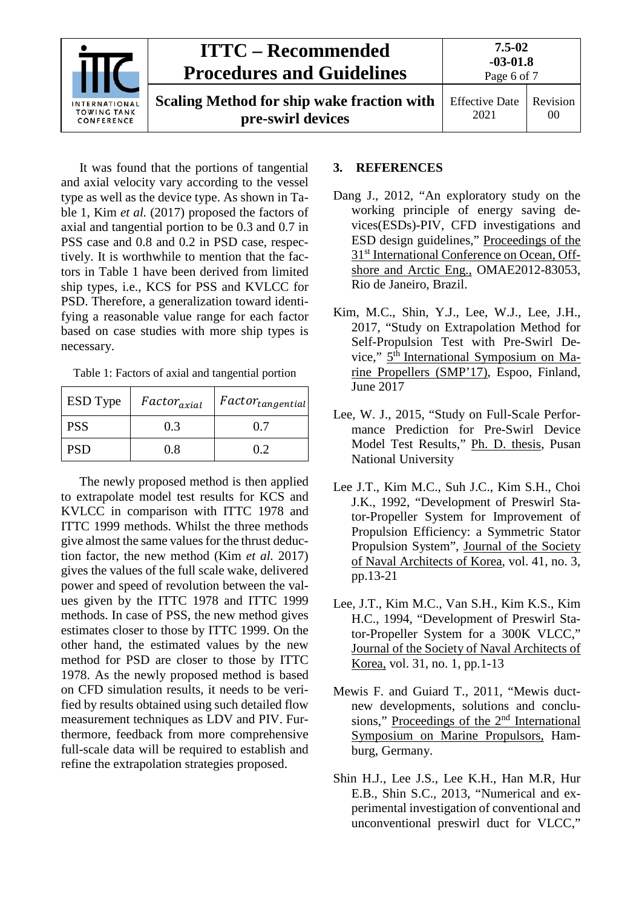

It was found that the portions of tangential and axial velocity vary according to the vessel type as well as the device type. As shown in Table 1, Kim *et al.* (2017) proposed the factors of axial and tangential portion to be 0.3 and 0.7 in PSS case and 0.8 and 0.2 in PSD case, respectively. It is worthwhile to mention that the factors in Table 1 have been derived from limited ship types, i.e., KCS for PSS and KVLCC for PSD. Therefore, a generalization toward identifying a reasonable value range for each factor based on case studies with more ship types is necessary.

Table 1: Factors of axial and tangential portion

| <b>ESD</b> Type | $Factor_{axial}$ | $Factor_{tangential}$ |
|-----------------|------------------|-----------------------|
| <b>PSS</b>      | 0.3              | 0.7                   |
| <b>PSD</b>      | 0.8              | 0.2                   |

The newly proposed method is then applied to extrapolate model test results for KCS and KVLCC in comparison with ITTC 1978 and ITTC 1999 methods. Whilst the three methods give almost the same values for the thrust deduction factor, the new method (Kim *et al.* 2017) gives the values of the full scale wake, delivered power and speed of revolution between the values given by the ITTC 1978 and ITTC 1999 methods. In case of PSS, the new method gives estimates closer to those by ITTC 1999. On the other hand, the estimated values by the new method for PSD are closer to those by ITTC 1978. As the newly proposed method is based on CFD simulation results, it needs to be verified by results obtained using such detailed flow measurement techniques as LDV and PIV. Furthermore, feedback from more comprehensive full-scale data will be required to establish and refine the extrapolation strategies proposed.

#### <span id="page-5-0"></span>**3. REFERENCES**

- Dang J., 2012, "An exploratory study on the working principle of energy saving devices(ESDs)-PIV, CFD investigations and ESD design guidelines," Proceedings of the 31<sup>st</sup> International Conference on Ocean, Offshore and Arctic Eng., OMAE2012-83053, Rio de Janeiro, Brazil.
- Kim, M.C., Shin, Y.J., Lee, W.J., Lee, J.H., 2017, "Study on Extrapolation Method for Self-Propulsion Test with Pre-Swirl Device,"  $5<sup>th</sup>$  International Symposium on Marine Propellers (SMP'17), Espoo, Finland, June 2017
- Lee, W. J., 2015, "Study on Full-Scale Performance Prediction for Pre-Swirl Device Model Test Results," Ph. D. thesis, Pusan National University
- Lee J.T., Kim M.C., Suh J.C., Kim S.H., Choi J.K., 1992, "Development of Preswirl Stator-Propeller System for Improvement of Propulsion Efficiency: a Symmetric Stator Propulsion System", Journal of the Society of Naval Architects of Korea, vol. 41, no. 3, pp.13-21
- Lee, J.T., Kim M.C., Van S.H., Kim K.S., Kim H.C., 1994, "Development of Preswirl Stator-Propeller System for a 300K VLCC," Journal of the Society of Naval Architects of Korea, vol. 31, no. 1, pp.1-13
- Mewis F. and Guiard T., 2011, "Mewis ductnew developments, solutions and conclusions," Proceedings of the 2<sup>nd</sup> International Symposium on Marine Propulsors, Hamburg, Germany.
- Shin H.J., Lee J.S., Lee K.H., Han M.R, Hur E.B., Shin S.C., 2013, "Numerical and experimental investigation of conventional and unconventional preswirl duct for VLCC,"